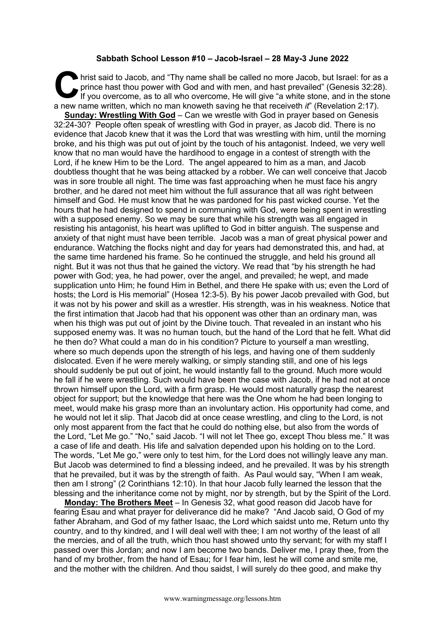## **Sabbath School Lesson #10 – Jacob-Israel – 28 May-3 June 2022**

hrist said to Jacob, and "Thy name shall be called no more Jacob, but Israel: for as a prince hast thou power with God and with men, and hast prevailed" (Genesis 32:28).<br>If you overcome, as to all who overcome, He will giv prince hast thou power with God and with men, and hast prevailed" (Genesis 32:28). If you overcome, as to all who overcome, He will give "a white stone, and in the stone a new name written, which no man knoweth saving he that receiveth *it*" (Revelation 2:17).

**Sunday: Wrestling With God** – Can we wrestle with God in prayer based on Genesis 32:24-30? People often speak of wrestling with God in prayer, as Jacob did. There is no evidence that Jacob knew that it was the Lord that was wrestling with him, until the morning broke, and his thigh was put out of joint by the touch of his antagonist. Indeed, we very well know that no man would have the hardihood to engage in a contest of strength with the Lord, if he knew Him to be the Lord. The angel appeared to him as a man, and Jacob doubtless thought that he was being attacked by a robber. We can well conceive that Jacob was in sore trouble all night. The time was fast approaching when he must face his angry brother, and he dared not meet him without the full assurance that all was right between himself and God. He must know that he was pardoned for his past wicked course. Yet the hours that he had designed to spend in communing with God, were being spent in wrestling with a supposed enemy. So we may be sure that while his strength was all engaged in resisting his antagonist, his heart was uplifted to God in bitter anguish. The suspense and anxiety of that night must have been terrible. Jacob was a man of great physical power and endurance. Watching the flocks night and day for years had demonstrated this, and had, at the same time hardened his frame. So he continued the struggle, and held his ground all night. But it was not thus that he gained the victory. We read that "by his strength he had power with God; yea, he had power, over the angel, and prevailed; he wept, and made supplication unto Him; he found Him in Bethel, and there He spake with us; even the Lord of hosts; the Lord is His memorial" (Hosea 12:3-5). By his power Jacob prevailed with God, but it was not by his power and skill as a wrestler. His strength, was in his weakness. Notice that the first intimation that Jacob had that his opponent was other than an ordinary man, was when his thigh was put out of joint by the Divine touch. That revealed in an instant who his supposed enemy was. It was no human touch, but the hand of the Lord that he felt. What did he then do? What could a man do in his condition? Picture to yourself a man wrestling, where so much depends upon the strength of his legs, and having one of them suddenly dislocated. Even if he were merely walking, or simply standing still, and one of his legs should suddenly be put out of joint, he would instantly fall to the ground. Much more would he fall if he were wrestling. Such would have been the case with Jacob, if he had not at once thrown himself upon the Lord, with a firm grasp. He would most naturally grasp the nearest object for support; but the knowledge that here was the One whom he had been longing to meet, would make his grasp more than an involuntary action. His opportunity had come, and he would not let it slip. That Jacob did at once cease wrestling, and cling to the Lord, is not only most apparent from the fact that he could do nothing else, but also from the words of the Lord, "Let Me go." "No," said Jacob. "I will not let Thee go, except Thou bless me." It was a case of life and death. His life and salvation depended upon his holding on to the Lord. The words, "Let Me go," were only to test him, for the Lord does not willingly leave any man. But Jacob was determined to find a blessing indeed, and he prevailed. It was by his strength that he prevailed, but it was by the strength of faith. As Paul would say, "When I am weak, then am I strong" (2 Corinthians 12:10). In that hour Jacob fully learned the lesson that the blessing and the inheritance come not by might, nor by strength, but by the Spirit of the Lord.

**Monday: The Brothers Meet** – In Genesis 32, what good reason did Jacob have for fearing Esau and what prayer for deliverance did he make? "And Jacob said, O God of my father Abraham, and God of my father Isaac, the Lord which saidst unto me, Return unto thy country, and to thy kindred, and I will deal well with thee; I am not worthy of the least of all the mercies, and of all the truth, which thou hast showed unto thy servant; for with my staff I passed over this Jordan; and now I am become two bands. Deliver me, I pray thee, from the hand of my brother, from the hand of Esau; for I fear him, lest he will come and smite me, and the mother with the children. And thou saidst, I will surely do thee good, and make thy